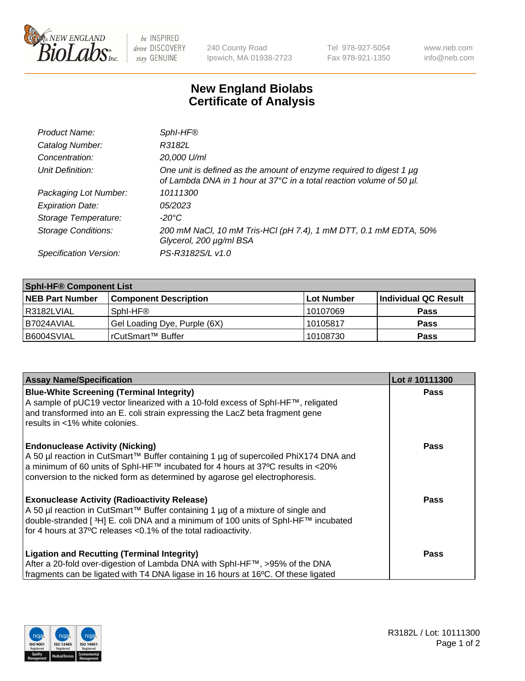

 $be$  INSPIRED drive DISCOVERY stay GENUINE

240 County Road Ipswich, MA 01938-2723 Tel 978-927-5054 Fax 978-921-1350 www.neb.com info@neb.com

## **New England Biolabs Certificate of Analysis**

| Product Name:              | Sphl-HF®                                                                                                                                         |
|----------------------------|--------------------------------------------------------------------------------------------------------------------------------------------------|
| Catalog Number:            | R3182L                                                                                                                                           |
| Concentration:             | 20,000 U/ml                                                                                                                                      |
| Unit Definition:           | One unit is defined as the amount of enzyme required to digest 1 $\mu$ g<br>of Lambda DNA in 1 hour at 37°C in a total reaction volume of 50 µl. |
| Packaging Lot Number:      | 10111300                                                                                                                                         |
| <b>Expiration Date:</b>    | 05/2023                                                                                                                                          |
| Storage Temperature:       | -20°C                                                                                                                                            |
| <b>Storage Conditions:</b> | 200 mM NaCl, 10 mM Tris-HCl (pH 7.4), 1 mM DTT, 0.1 mM EDTA, 50%<br>Glycerol, 200 µg/ml BSA                                                      |
| Specification Version:     | PS-R3182S/L v1.0                                                                                                                                 |

| <b>Sphl-HF® Component List</b> |                              |             |                      |  |  |
|--------------------------------|------------------------------|-------------|----------------------|--|--|
| <b>NEB Part Number</b>         | <b>Component Description</b> | ∣Lot Number | Individual QC Result |  |  |
| R3182LVIAL                     | Sphl-HF®                     | 10107069    | <b>Pass</b>          |  |  |
| I B7024AVIAL                   | Gel Loading Dye, Purple (6X) | 10105817    | <b>Pass</b>          |  |  |
| B6004SVIAL                     | rCutSmart™ Buffer            | 10108730    | <b>Pass</b>          |  |  |

| <b>Assay Name/Specification</b>                                                                                                                                                                                                                                                                          | Lot #10111300 |
|----------------------------------------------------------------------------------------------------------------------------------------------------------------------------------------------------------------------------------------------------------------------------------------------------------|---------------|
| <b>Blue-White Screening (Terminal Integrity)</b><br>A sample of pUC19 vector linearized with a 10-fold excess of SphI-HF™, religated<br>and transformed into an E. coli strain expressing the LacZ beta fragment gene                                                                                    | <b>Pass</b>   |
| results in <1% white colonies.                                                                                                                                                                                                                                                                           |               |
| <b>Endonuclease Activity (Nicking)</b><br>A 50 µl reaction in CutSmart™ Buffer containing 1 µg of supercoiled PhiX174 DNA and<br>$\alpha$ a minimum of 60 units of SphI-HF™ incubated for 4 hours at 37°C results in <20%<br>conversion to the nicked form as determined by agarose gel electrophoresis. | <b>Pass</b>   |
| <b>Exonuclease Activity (Radioactivity Release)</b><br>  A 50 µl reaction in CutSmart™ Buffer containing 1 µg of a mixture of single and<br>double-stranded [3H] E. coli DNA and a minimum of 100 units of SphI-HF™ incubated<br>for 4 hours at 37°C releases <0.1% of the total radioactivity.          | Pass          |
| <b>Ligation and Recutting (Terminal Integrity)</b><br>After a 20-fold over-digestion of Lambda DNA with SphI-HF™, >95% of the DNA                                                                                                                                                                        | <b>Pass</b>   |
| fragments can be ligated with T4 DNA ligase in 16 hours at 16°C. Of these ligated                                                                                                                                                                                                                        |               |